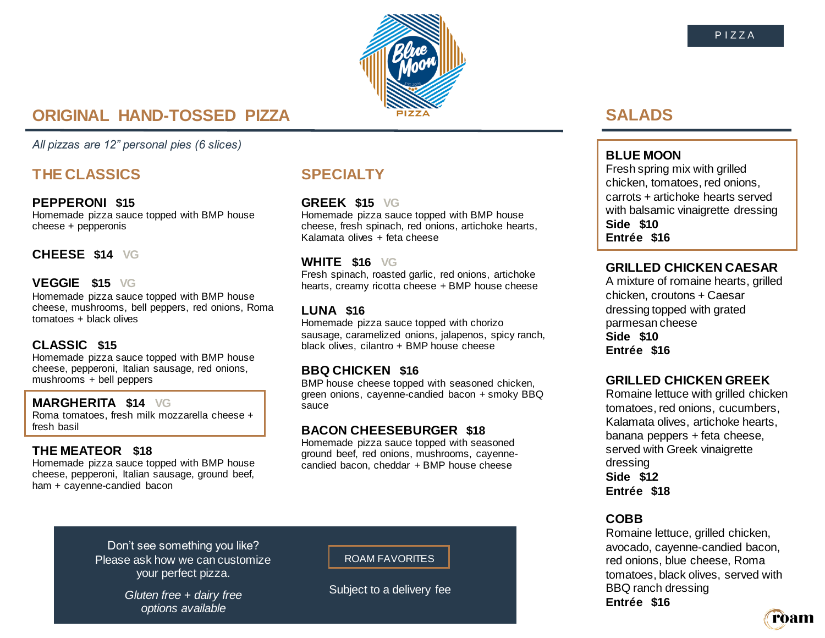

# **ORIGINAL HAND-TOSSED PIZZA**

*All pizzas are 12" personal pies (6 slices)*

# **THE CLASSICS**

### **PEPPERONI \$15**

Homemade pizza sauce topped with BMP house cheese + pepperonis

## **CHEESE \$14 VG**

### **VEGGIE \$15 VG**

Homemade pizza sauce topped with BMP house cheese, mushrooms, bell peppers, red onions, Roma tomatoes + black olives

## **CLASSIC \$15**

Homemade pizza sauce topped with BMP house cheese, pepperoni, Italian sausage, red onions, mushrooms + bell peppers

### **MARGHERITA \$14 VG**

Roma tomatoes, fresh milk mozzarella cheese + fresh basil

### **THE MEATEOR \$18**

Homemade pizza sauce topped with BMP house cheese, pepperoni, Italian sausage, ground beef, ham + cayenne-candied bacon

# **SPECIALTY**

## **GREEK \$15 VG**

Homemade pizza sauce topped with BMP house cheese, fresh spinach, red onions, artichoke hearts, Kalamata olives + feta cheese

## **WHITE \$16 VG**

Fresh spinach, roasted garlic, red onions, artichoke hearts, creamy ricotta cheese + BMP house cheese

## **LUNA \$16**

Homemade pizza sauce topped with chorizo sausage, caramelized onions, jalapenos, spicy ranch, black olives, cilantro + BMP house cheese

## **BBQ CHICKEN \$16**

BMP house cheese topped with seasoned chicken, green onions, cayenne-candied bacon + smoky BBQ sauce

## **BACON CHEESEBURGER \$18**

Homemade pizza sauce topped with seasoned ground beef, red onions, mushrooms, cayennecandied bacon, cheddar + BMP house cheese

# **SALADS**

## **BLUE MOON**

Fresh spring mix with grilled chicken, tomatoes, red onions, carrots + artichoke hearts served with balsamic vinaigrette dressing **Side \$10 Entrée \$16**

## **GRILLED CHICKEN CAESAR**

A mixture of romaine hearts, grilled chicken, croutons + Caesar dressing topped with grated parmesan cheese **Side \$10 Entrée \$16**

## **GRILLED CHICKEN GREEK**

Romaine lettuce with grilled chicken tomatoes, red onions, cucumbers, Kalamata olives, artichoke hearts, banana peppers + feta cheese, served with Greek vinaigrette dressing **Side \$12 Entrée \$18**

## **COBB**

Romaine lettuce, grilled chicken, avocado, cayenne-candied bacon, red onions, blue cheese, Roma tomatoes, black olives, served with BBQ ranch dressing **Entrée \$16**

ròam

Don't see something you like? Please ask how we can customize your perfect pizza.

> *Gluten free + dairy free options available*

ROAM FAVORITES

Subject to a delivery fee